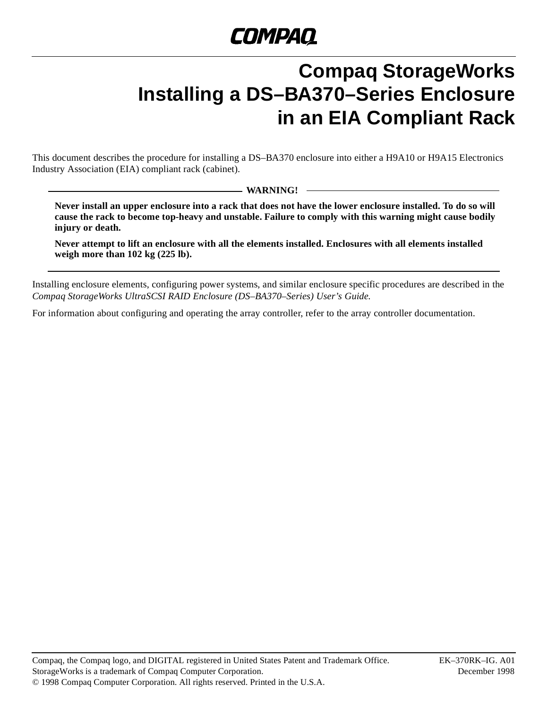# **Compaq StorageWorks Installing a DS–BA370–Series Enclosure in an EIA Compliant Rack**

This document describes the procedure for installing a DS–BA370 enclosure into either a H9A10 or H9A15 Electronics Industry Association (EIA) compliant rack (cabinet).

**WARNING!**

**Never install an upper enclosure into a rack that does not have the lower enclosure installed. To do so will cause the rack to become top-heavy and unstable. Failure to comply with this warning might cause bodily injury or death.**

**Never attempt to lift an enclosure with all the elements installed. Enclosures with all elements installed weigh more than 102 kg (225 lb).**

Installing enclosure elements, configuring power systems, and similar enclosure specific procedures are described in the *Compaq StorageWorks UltraSCSI RAID Enclosure (DS–BA370–Series) User's Guide.*

For information about configuring and operating the array controller, refer to the array controller documentation.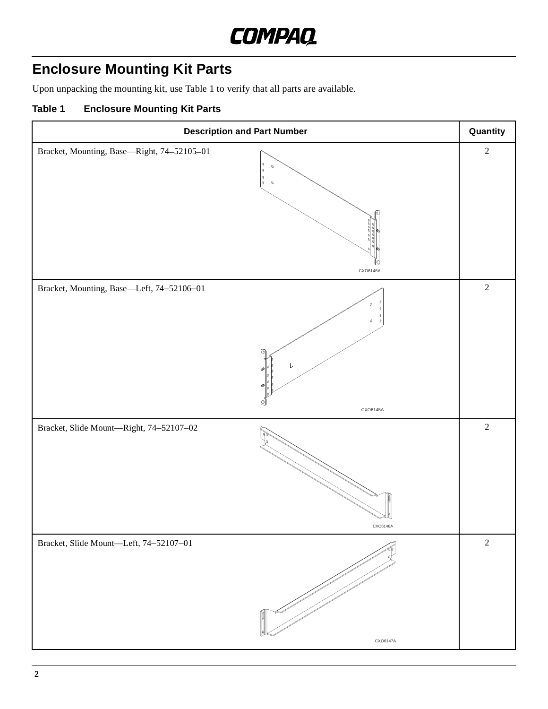

# **Enclosure Mounting Kit Parts**

Upon unpacking the mounting kit, use Table 1 to verify that all parts are available.

### **Table 1 Enclosure Mounting Kit Parts**

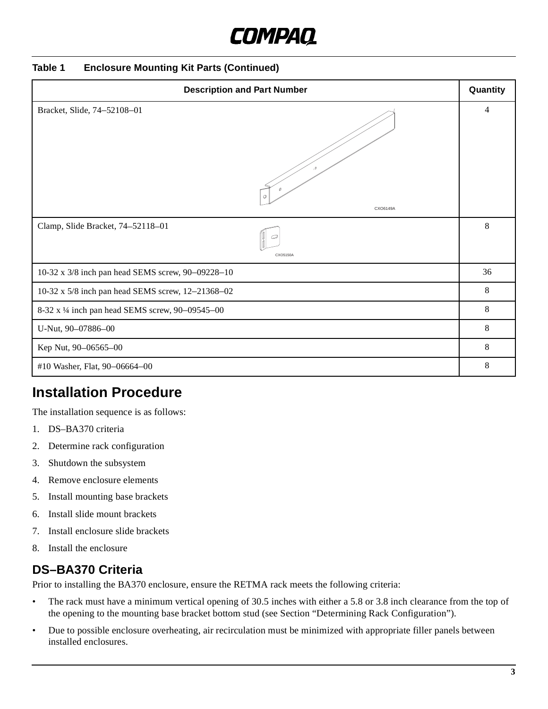#### **Table 1 Enclosure Mounting Kit Parts (Continued)**

| <b>Description and Part Number</b>                |   |  |
|---------------------------------------------------|---|--|
| Bracket, Slide, 74-52108-01<br>:0<br>CXO6149A     | 4 |  |
| Clamp, Slide Bracket, 74-52118-01<br>CXO5150A     | 8 |  |
| 10-32 x 3/8 inch pan head SEMS screw, 90-09228-10 |   |  |
| 10-32 x 5/8 inch pan head SEMS screw, 12-21368-02 |   |  |
| 8-32 x 1/4 inch pan head SEMS screw, 90-09545-00  |   |  |
| U-Nut, 90-07886-00                                | 8 |  |
| Kep Nut, 90-06565-00                              | 8 |  |
| #10 Washer, Flat, 90-06664-00                     | 8 |  |

## **Installation Procedure**

The installation sequence is as follows:

- 1. DS–BA370 criteria
- 2. Determine rack configuration
- 3. Shutdown the subsystem
- 4. Remove enclosure elements
- 5. Install mounting base brackets
- 6. Install slide mount brackets
- 7. Install enclosure slide brackets
- 8. Install the enclosure

## **DS–BA370 Criteria**

Prior to installing the BA370 enclosure, ensure the RETMA rack meets the following criteria:

- The rack must have a minimum vertical opening of 30.5 inches with either a 5.8 or 3.8 inch clearance from the top of the opening to the mounting base bracket bottom stud (see Secti[on "Determining Rack Configura](#page-3-0)tion").
- Due to possible enclosure overheating, air recirculation must be minimized with appropriate filler panels between installed enclosures.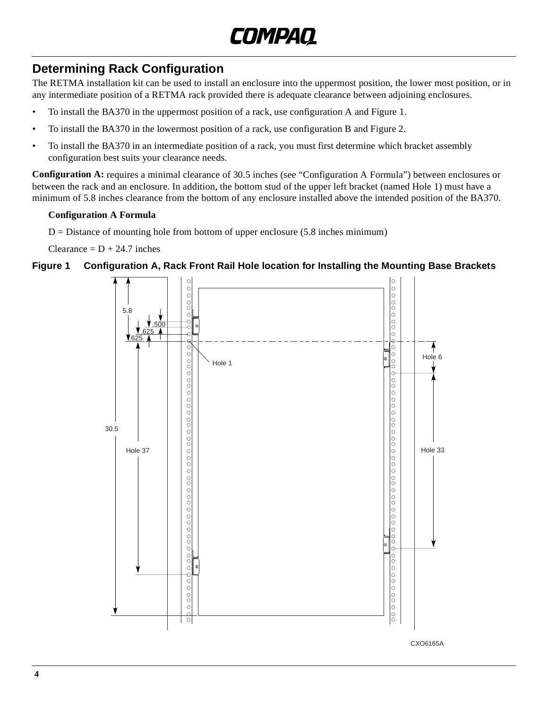

## <span id="page-3-0"></span>**Determining Rack Configuration**

The RETMA installation kit can be used to install an enclosure into the uppermost position, the lower most position, or in any intermediate position of a RETMA rack provided there is adequate clearance between adjoining enclosures.

- To install the BA370 in the uppermost position of a rack, use configuration A and Figure 1.
- To install the BA370 in the lowermost position of a rack, use configuration B [and Figu](#page-4-0)re 2.
- To install the BA370 in an intermediate position of a rack, you must first determine which bracket assembly configuration best suits your clearance needs.

**Configuration A:** requires a minimal clearance of 30.5 inches (see "Configuration A Formula") between enclosures or between the rack and an enclosure. In addition, the bottom stud of the upper left bracket (named Hole 1) must have a minimum of 5.8 inches clearance from the bottom of any enclosure installed above the intended position of the BA370.

#### **Configuration A Formula**

 $D =$  Distance of mounting hole from bottom of upper enclosure (5.8 inches minimum)

Clearance  $= D + 24.7$  inches

#### **Figure 1 Configuration A, Rack Front Rail Hole location for Installing the Mounting Base Brackets**

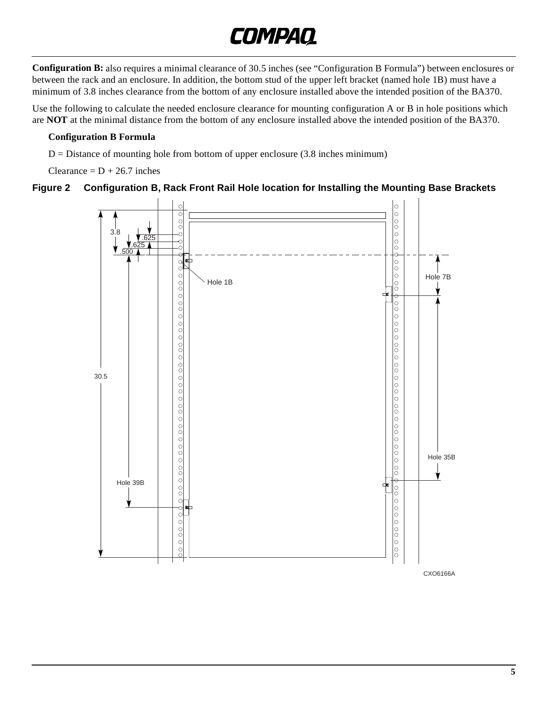<span id="page-4-0"></span>**Configuration B:** also requires a minimal clearance of 30.5 inches (see "Configuration B Formula") between enclosures or between the rack and an enclosure. In addition, the bottom stud of the upper left bracket (named hole 1B) must have a minimum of 3.8 inches clearance from the bottom of any enclosure installed above the intended position of the BA370.

Use the following to calculate the needed enclosure clearance for mounting configuration A or B in hole positions which are **NOT** at the minimal distance from the bottom of any enclosure installed above the intended position of the BA370.

#### **Configuration B Formula**

 $D = Distance$  of mounting hole from bottom of upper enclosure (3.8 inches minimum)

Clearance =  $D + 26.7$  inches

#### **Figure 2 Configuration B, Rack Front Rail Hole location for Installing the Mounting Base Brackets**



CXO6166A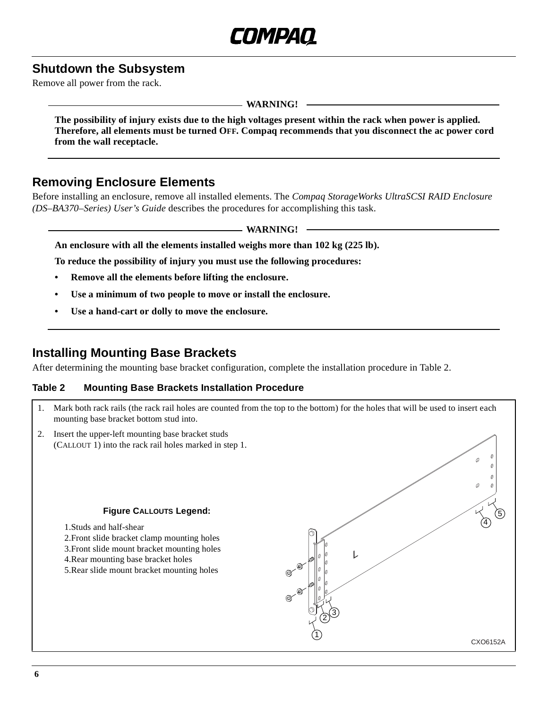### **Shutdown the Subsystem**

Remove all power from the rack.

#### **WARNING!**

**The possibility of injury exists due to the high voltages present within the rack when power is applied. Therefore, all elements must be turned OFF. Compaq recommends that you disconnect the ac power cord from the wall receptacle.**

### **Removing Enclosure Elements**

Before installing an enclosure, remove all installed elements. The *Compaq StorageWorks UltraSCSI RAID Enclosure (DS–BA370–Series) User's Guide* describes the procedures for accomplishing this task.

**WARNING!**

**An enclosure with all the elements installed weighs more than 102 kg (225 lb).**

**To reduce the possibility of injury you must use the following procedures:**

- **Remove all the elements before lifting the enclosure.**
- **Use a minimum of two people to move or install the enclosure.**
- **Use a hand-cart or dolly to move the enclosure.**

### **Installing Mounting Base Brackets**

After determining the mounting base bracket configuration, complete the installation procedure in Table 2.

#### **Table 2 Mounting Base Brackets Installation Procedure**

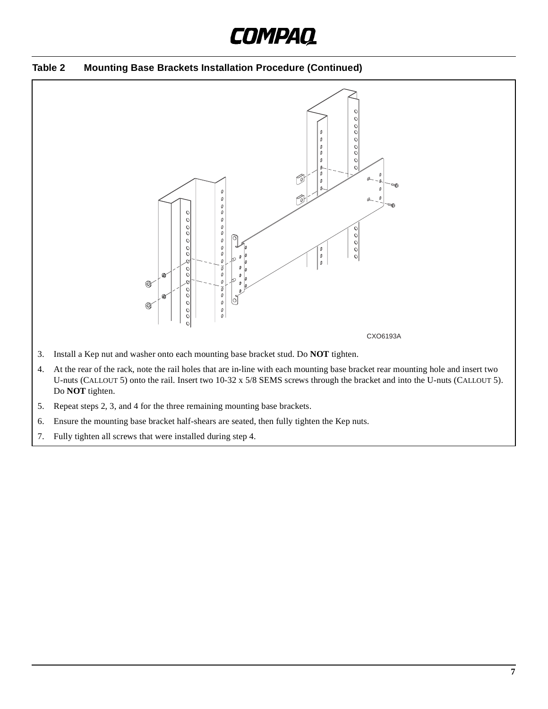



- Do **NOT** tighten.
- 5. Repeat steps 2, 3, and 4 for the three remaining mounting base brackets.
- 6. Ensure the mounting base bracket half-shears are seated, then fully tighten the Kep nuts.
- 7. Fully tighten all screws that were installed during step 4.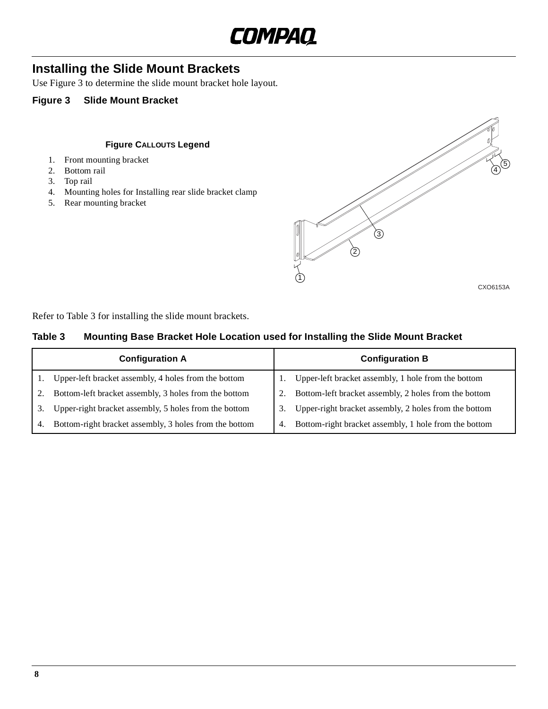

### <span id="page-7-0"></span>**Installing the Slide Mount Brackets**

Use Figure 3 to determine the slide mount bracket hole layout.

#### **Figure 3 Slide Mount Bracket**

#### **Figure CALLOUTS Legend**

- 1. Front mounting bracket
- 2. Bottom rail
- 3. Top rail
- 4. Mounting holes for Installing rear slide bracket clamp
- 5. Rear mounting bracket



CXO6153A

Refer to Table 3 for installing the slide mount brackets.

#### **Table 3 Mounting Base Bracket Hole Location used for Installing the Slide Mount Bracket**

|    | <b>Configuration A</b><br><b>Configuration B</b>       |    |                                                       |
|----|--------------------------------------------------------|----|-------------------------------------------------------|
|    | Upper-left bracket assembly, 4 holes from the bottom   |    | Upper-left bracket assembly, 1 hole from the bottom   |
|    | Bottom-left bracket assembly, 3 holes from the bottom  |    | Bottom-left bracket assembly, 2 holes from the bottom |
| 3. | Upper-right bracket assembly, 5 holes from the bottom  |    | Upper-right bracket assembly, 2 holes from the bottom |
| 4. | Bottom-right bracket assembly, 3 holes from the bottom | 4. | Bottom-right bracket assembly, 1 hole from the bottom |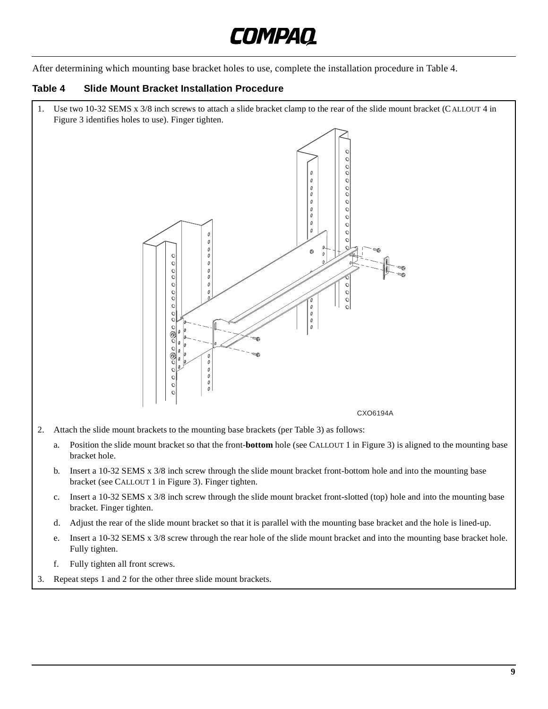

After determining which mounting base bracket holes to use, complete the installation procedure in Table 4.

#### **Table 4 Slide Mount Bracket Installation Procedure**

1. Use two 10-32 SEMS x 3/8 inch screws to attach a slide bracket clamp to the rear of the slide mount bracket (C ALLOUT 4 in [Figure 3](#page-7-0) identifies holes to use). Finger tighten.  $\mathcal O$  $\begin{array}{c} 0 \\ 0 \\ 0 \\ 0 \\ 0 \\ \end{array}$  $\begin{matrix} 0 \\ 0 \end{matrix}$  $\theta$  $\theta$  $\begin{matrix} 0 \\ 0 \end{matrix}$  $\bullet$  $\mathfrak{o}$  $\circ$  $\begin{matrix} 0 \\ 0 \end{matrix}$  $\circ$  $\circ$  $\mathcal{O}$  $\circ$  $\circ$  $\emptyset$  $\begin{matrix} 0 \\ 0 \\ 0 \end{matrix}$  $\circ$  $\circ$  $\check{\circ}$  $\circ$  $\check{\circ}$ e<br>a  $\circ$  $\begin{matrix} 0 \\ 0 \\ 0 \\ 0 \\ 0 \end{matrix}$  $\circ$  $\circ$  $\mathbf c$ CXO6194A2. Attach the slide mount brackets to the mounting base brackets (p[er Table](#page-7-0) 3) as follows: a. Position the slide mount bracket so that the front-**bottom** hole (see CALLOUT 1 [in Figur](#page-7-0)e 3) is aligned to the mounting base bracket hole. b. Insert a 10-32 SEMS x 3/8 inch screw through the slide mount bracket front-bottom hole and into the mounting base bracket (see CALLOUT 1 i[n Figure](#page-7-0) 3). Finger tighten. c. Insert a 10-32 SEMS x 3/8 inch screw through the slide mount bracket front-slotted (top) hole and into the mounting base bracket. Finger tighten. d. Adjust the rear of the slide mount bracket so that it is parallel with the mounting base bracket and the hole is lined-up. e. Insert a 10-32 SEMS x 3/8 screw through the rear hole of the slide mount bracket and into the mounting base bracket hole. Fully tighten. f. Fully tighten all front screws. 3. Repeat steps 1 and 2 for the other three slide mount brackets.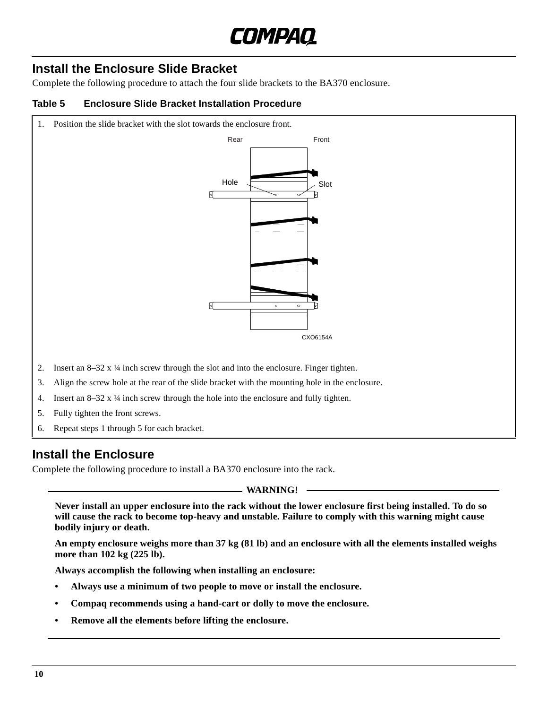

## **Install the Enclosure Slide Bracket**

Complete the following procedure to attach the four slide brackets to the BA370 enclosure.

#### **Table 5 Enclosure Slide Bracket Installation Procedure**

1. Position the slide bracket with the slot towards the enclosure front.



- 4. Insert an  $8-32 \times \frac{1}{4}$  inch screw through the hole into the enclosure and fully tighten.
- 5. Fully tighten the front screws.
- 6. Repeat steps 1 through 5 for each bracket.

### **Install the Enclosure**

Complete the following procedure to install a BA370 enclosure into the rack.

**WARNING!**

**Never install an upper enclosure into the rack without the lower enclosure first being installed. To do so will cause the rack to become top-heavy and unstable. Failure to comply with this warning might cause bodily injury or death.**

**An empty enclosure weighs more than 37 kg (81 lb) and an enclosure with all the elements installed weighs more than 102 kg (225 lb).**

**Always accomplish the following when installing an enclosure:**

- **Always use a minimum of two people to move or install the enclosure.**
- **Compaq recommends using a hand-cart or dolly to move the enclosure.**
- **Remove all the elements before lifting the enclosure.**